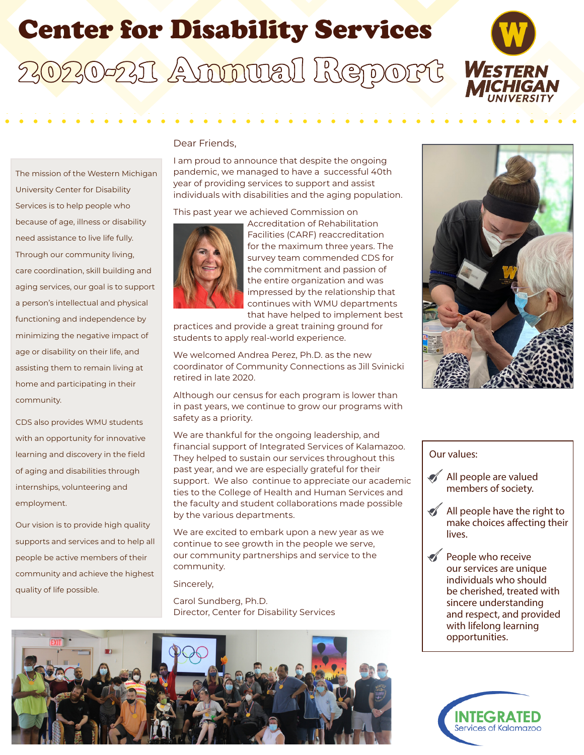## Center for Disability Services 2020-21 Annual Report WESTERN



The mission of the Western Michigan University Center for Disability Services is to help people who because of age, illness or disability need assistance to live life fully. Through our community living, care coordination, skill building and aging services, our goal is to support a person's intellectual and physical functioning and independence by minimizing the negative impact of age or disability on their life, and assisting them to remain living at home and participating in their community.

CDS also provides WMU students with an opportunity for innovative learning and discovery in the field of aging and disabilities through internships, volunteering and employment.

Our vision is to provide high quality supports and services and to help all people be active members of their community and achieve the highest quality of life possible.

## Dear Friends,

I am proud to announce that despite the ongoing pandemic, we managed to have a successful 40th year of providing services to support and assist individuals with disabilities and the aging population.

## This past year we achieved Commission on



Accreditation of Rehabilitation Facilities (CARF) reaccreditation for the maximum three years. The survey team commended CDS for the commitment and passion of the entire organization and was impressed by the relationship that continues with WMU departments that have helped to implement best

practices and provide a great training ground for students to apply real-world experience.

We welcomed Andrea Perez, Ph.D. as the new coordinator of Community Connections as Jill Svinicki retired in late 2020.

Although our census for each program is lower than in past years, we continue to grow our programs with safety as a priority.

We are thankful for the ongoing leadership, and financial support of Integrated Services of Kalamazoo. They helped to sustain our services throughout this past year, and we are especially grateful for their support. We also continue to appreciate our academic ties to the College of Health and Human Services and the faculty and student collaborations made possible by the various departments.

We are excited to embark upon a new year as we continue to see growth in the people we serve, our community partnerships and service to the community.

Sincerely,

Carol Sundberg, Ph.D. Director, Center for Disability Services





## Our values:

- $\blacktriangleleft$  All people are valued members of society.
- All people have the right to make choices affecting their lives.

People who receive our services are unique individuals who should be cherished, treated with sincere understanding and respect, and provided with lifelong learning opportunities.